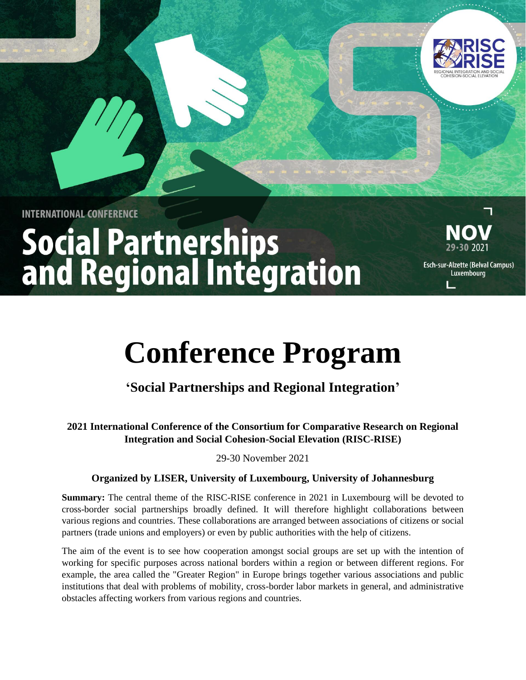

**INTERNATIONAL CONFERENCE** 

# **Social Partnerships<br>and Regional Integration**



Esch-sur-Alzette (Belval Campus) Luxembourg

Ľ

## **Conference Program**

### **'Social Partnerships and Regional Integration'**

**2021 International Conference of the Consortium for Comparative Research on Regional Integration and Social Cohesion-Social Elevation (RISC-RISE)** 

29-30 November 2021

#### **Organized by LISER, University of Luxembourg, University of Johannesburg**

**Summary:** The central theme of the RISC-RISE conference in 2021 in Luxembourg will be devoted to cross-border social partnerships broadly defined. It will therefore highlight collaborations between various regions and countries. These collaborations are arranged between associations of citizens or social partners (trade unions and employers) or even by public authorities with the help of citizens.

The aim of the event is to see how cooperation amongst social groups are set up with the intention of working for specific purposes across national borders within a region or between different regions. For example, the area called the "Greater Region" in Europe brings together various associations and public institutions that deal with problems of mobility, cross-border labor markets in general, and administrative obstacles affecting workers from various regions and countries.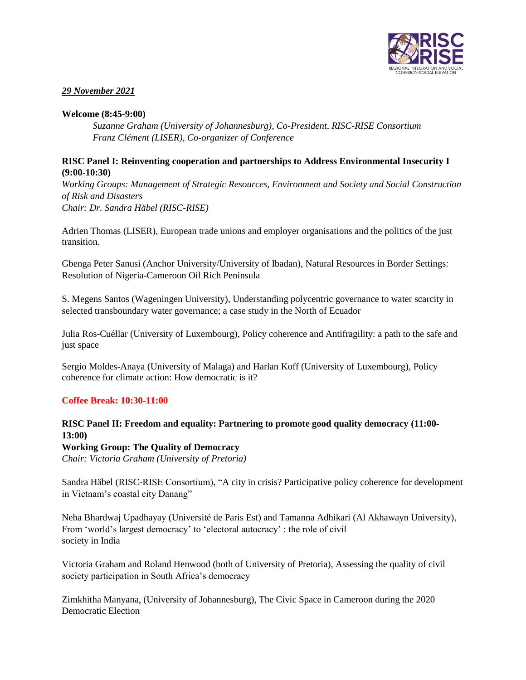

#### *29 November 2021*

#### **Welcome (8:45-9:00)**

*Suzanne Graham (University of Johannesburg), Co-President, RISC-RISE Consortium Franz Clément (LISER), Co-organizer of Conference*

#### **RISC Panel I: Reinventing cooperation and partnerships to Address Environmental Insecurity I (9:00-10:30)**

*Working Groups: Management of Strategic Resources, Environment and Society and Social Construction of Risk and Disasters Chair: Dr. Sandra Häbel (RISC-RISE)*

Adrien Thomas (LISER), European trade unions and employer organisations and the politics of the just transition.

Gbenga Peter Sanusi (Anchor University/University of Ibadan), Natural Resources in Border Settings: Resolution of Nigeria-Cameroon Oil Rich Peninsula

S. Megens Santos (Wageningen University), Understanding polycentric governance to water scarcity in selected transboundary water governance; a case study in the North of Ecuador

Julia Ros-Cuéllar (University of Luxembourg), Policy coherence and Antifragility: a path to the safe and just space

Sergio Moldes-Anaya (University of Malaga) and Harlan Koff (University of Luxembourg), Policy coherence for climate action: How democratic is it?

#### **Coffee Break: 10:30-11:00**

#### **RISC Panel II: Freedom and equality: Partnering to promote good quality democracy (11:00- 13:00)**

**Working Group: The Quality of Democracy**

*Chair: Victoria Graham (University of Pretoria)*

Sandra Häbel (RISC-RISE Consortium), "A city in crisis? Participative policy coherence for development in Vietnam's coastal city Danang"

Neha Bhardwaj Upadhayay (Université de Paris Est) and Tamanna Adhikari (Al Akhawayn University), From 'world's largest democracy' to 'electoral autocracy' : the role of civil society in India

Victoria Graham and Roland Henwood (both of University of Pretoria), Assessing the quality of civil society participation in South Africa's democracy

Zimkhitha Manyana, (University of Johannesburg), The Civic Space in Cameroon during the 2020 Democratic Election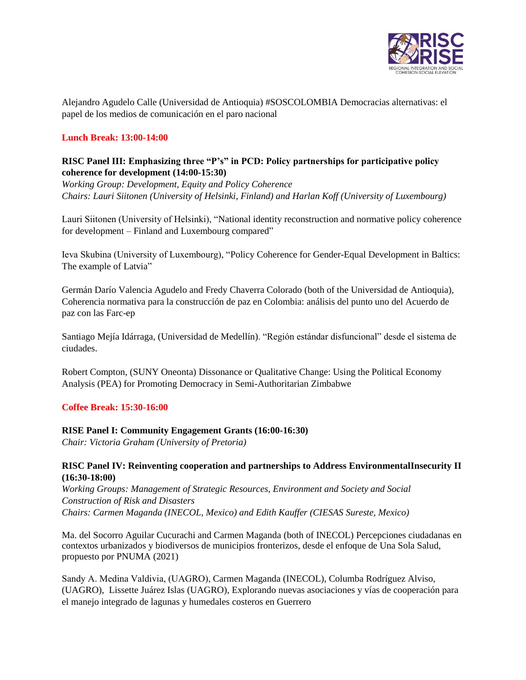

Alejandro Agudelo Calle (Universidad de Antioquia) #SOSCOLOMBIA Democracias alternativas: el papel de los medios de comunicación en el paro nacional

#### **Lunch Break: 13:00-14:00**

#### **RISC Panel III: Emphasizing three "P's" in PCD: Policy partnerships for participative policy coherence for development (14:00-15:30)**

*Working Group: Development, Equity and Policy Coherence Chairs: Lauri Siitonen (University of Helsinki, Finland) and Harlan Koff (University of Luxembourg)* 

Lauri Siitonen (University of Helsinki), "National identity reconstruction and normative policy coherence for development – Finland and Luxembourg compared"

Ieva Skubina (University of Luxembourg), "Policy Coherence for Gender-Equal Development in Baltics: The example of Latvia"

Germán Darío Valencia Agudelo and Fredy Chaverra Colorado (both of the Universidad de Antioquia), Coherencia normativa para la construcción de paz en Colombia: análisis del punto uno del Acuerdo de paz con las Farc-ep

Santiago Mejía Idárraga, (Universidad de Medellín). "Región estándar disfuncional" desde el sistema de ciudades.

Robert Compton, (SUNY Oneonta) Dissonance or Qualitative Change: Using the Political Economy Analysis (PEA) for Promoting Democracy in Semi-Authoritarian Zimbabwe

#### **Coffee Break: 15:30-16:00**

#### **RISE Panel I: Community Engagement Grants (16:00-16:30)**

*Chair: Victoria Graham (University of Pretoria)* 

#### **RISC Panel IV: Reinventing cooperation and partnerships to Address Environmental Insecurity II (16:30-18:00)**

*Working Groups: Management of Strategic Resources, Environment and Society and Social Construction of Risk and Disasters Chairs: Carmen Maganda (INECOL, Mexico) and Edith Kauffer (CIESAS Sureste, Mexico)* 

Ma. del Socorro Aguilar Cucurachi and Carmen Maganda (both of INECOL) Percepciones ciudadanas en contextos urbanizados y biodiversos de municipios fronterizos, desde el enfoque de Una Sola Salud, propuesto por PNUMA (2021)

Sandy A. Medina Valdivia, (UAGRO), Carmen Maganda (INECOL), Columba Rodríguez Alviso, (UAGRO), Lissette Juárez Islas (UAGRO), Explorando nuevas asociaciones y vías de cooperación para el manejo integrado de lagunas y humedales costeros en Guerrero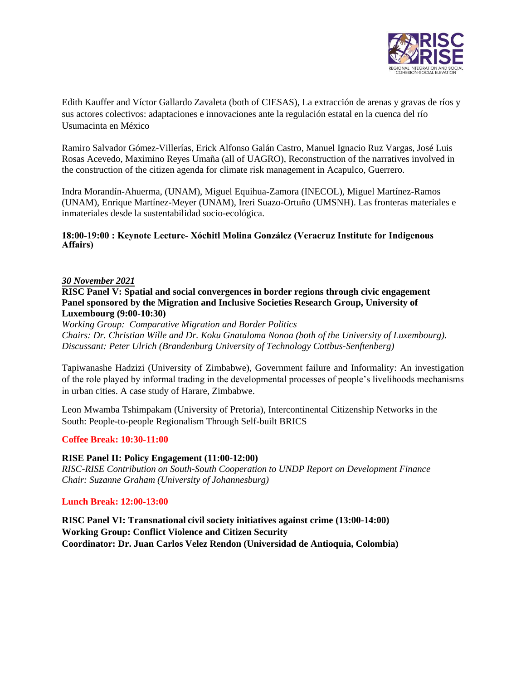

Edith Kauffer and Víctor Gallardo Zavaleta (both of CIESAS), La extracción de arenas y gravas de ríos y sus actores colectivos: adaptaciones e innovaciones ante la regulación estatal en la cuenca del río Usumacinta en México

Ramiro Salvador Gómez-Villerías, Erick Alfonso Galán Castro, Manuel Ignacio Ruz Vargas, José Luis Rosas Acevedo, Maximino Reyes Umaña (all of UAGRO), Reconstruction of the narratives involved in the construction of the citizen agenda for climate risk management in Acapulco, Guerrero.

Indra Morandín-Ahuerma, (UNAM), Miguel Equihua-Zamora (INECOL), Miguel Martínez-Ramos (UNAM), Enrique Martínez-Meyer (UNAM), Ireri Suazo-Ortuño (UMSNH). Las fronteras materiales e inmateriales desde la sustentabilidad socio-ecológica.

#### **18:00-19:00 : Keynote Lecture- Xóchitl Molina González (Veracruz Institute for Indigenous Affairs)**

#### *30 November 2021*

**RISC Panel V: Spatial and social convergences in border regions through civic engagement Panel sponsored by the Migration and Inclusive Societies Research Group, University of Luxembourg (9:00-10:30)** 

*Working Group: Comparative Migration and Border Politics Chairs: Dr. Christian Wille and Dr. Koku Gnatuloma Nonoa (both of the University of Luxembourg). Discussant: Peter Ulrich (Brandenburg University of Technology Cottbus-Senftenberg)* 

Tapiwanashe Hadzizi (University of Zimbabwe), Government failure and Informality: An investigation of the role played by informal trading in the developmental processes of people's livelihoods mechanisms in urban cities. A case study of Harare, Zimbabwe.

Leon Mwamba Tshimpakam (University of Pretoria), Intercontinental Citizenship Networks in the South: People-to-people Regionalism Through Self-built BRICS

#### **Coffee Break: 10:30-11:00**

#### **RISE Panel II: Policy Engagement (11:00-12:00)**

*RISC-RISE Contribution on South-South Cooperation to UNDP Report on Development Finance Chair: Suzanne Graham (University of Johannesburg)* 

#### **Lunch Break: 12:00-13:00**

**RISC Panel VI: Transnational civil society initiatives against crime (13:00-14:00) Working Group: Conflict Violence and Citizen Security Coordinator: Dr. Juan Carlos Velez Rendon (Universidad de Antioquia, Colombia)**